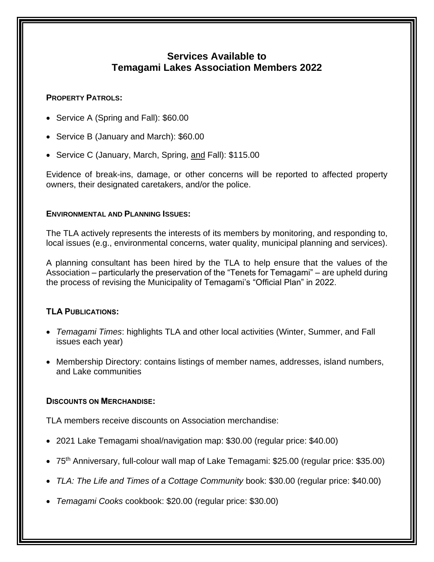# **Services Available to Temagami Lakes Association Members 2022**

### **PROPERTY PATROLS:**

- Service A (Spring and Fall): \$60.00
- Service B (January and March): \$60.00
- Service C (January, March, Spring, and Fall): \$115.00

Evidence of break-ins, damage, or other concerns will be reported to affected property owners, their designated caretakers, and/or the police.

### **ENVIRONMENTAL AND PLANNING ISSUES:**

The TLA actively represents the interests of its members by monitoring, and responding to, local issues (e.g., environmental concerns, water quality, municipal planning and services).

A planning consultant has been hired by the TLA to help ensure that the values of the Association – particularly the preservation of the "Tenets for Temagami" – are upheld during the process of revising the Municipality of Temagami's "Official Plan" in 2022.

# **TLA PUBLICATIONS:**

- *Temagami Times*: highlights TLA and other local activities (Winter, Summer, and Fall issues each year)
- Membership Directory: contains listings of member names, addresses, island numbers, and Lake communities

## **DISCOUNTS ON MERCHANDISE:**

TLA members receive discounts on Association merchandise:

- 2021 Lake Temagami shoal/navigation map: \$30.00 (regular price: \$40.00)
- 75<sup>th</sup> Anniversary, full-colour wall map of Lake Temagami: \$25.00 (regular price: \$35.00)
- *TLA: The Life and Times of a Cottage Community* book: \$30.00 (regular price: \$40.00)
- *Temagami Cooks* cookbook: \$20.00 (regular price: \$30.00)